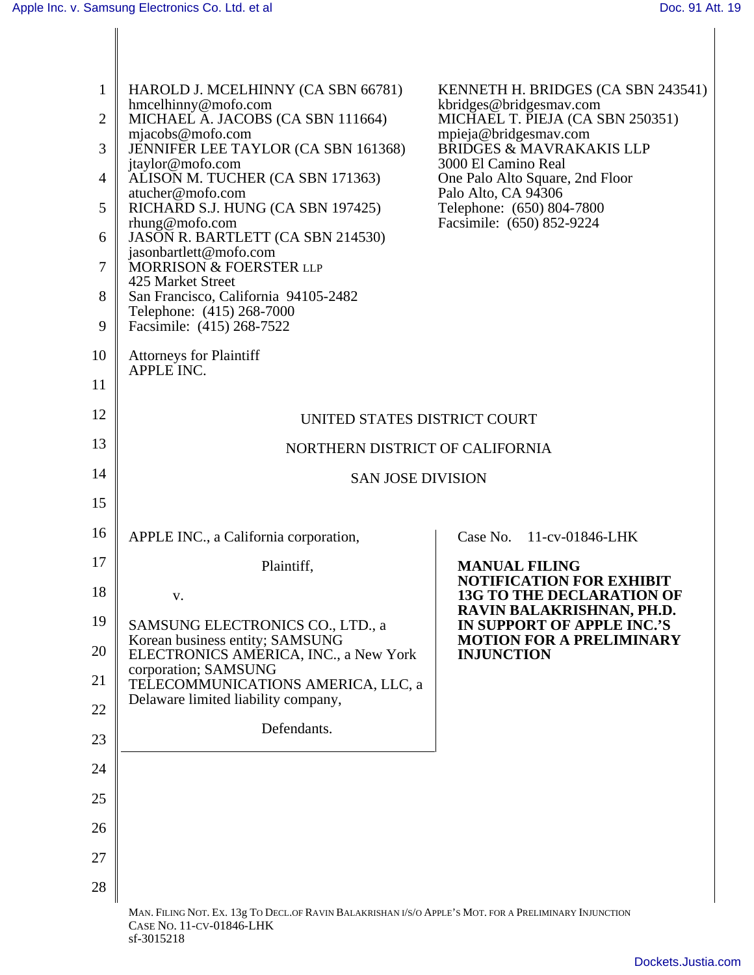|                | HAROLD J. MCELHINNY (CA SBN 66781)                                                                                                | KENNETH H. BRIDGES (CA SBN 243541)                            |
|----------------|-----------------------------------------------------------------------------------------------------------------------------------|---------------------------------------------------------------|
|                | hmcelhinny@mofo.com<br>2    MICHAEL A. JACOBS (CA SBN 111664)                                                                     | kbridges@bridgesmav.com<br>MICHAEL T. PIEJA (CA SBN 250351)   |
|                | mjacobs@mofo.com                                                                                                                  | mpieja@bridgesmav.com<br>BRIDGES & MAVRAKAKIS LLP             |
|                | JENNIFER LEE TAYLOR (CA SBN 161368)<br>jtaylor@mofo.com                                                                           | 3000 El Camino Real                                           |
|                | 4   ALISON M. TUCHER (CA SBN 171363)<br>atucher@mofo.com                                                                          | One Palo Alto Square, 2nd Floor<br>Palo Alto, CA 94306        |
|                | $5 \parallel$ RICHARD S.J. HUNG (CA SBN 197425)                                                                                   | Telephone: (650) 804-7800                                     |
|                | $r$ hung@mofo.com<br>6   JASON R. BARTLETT (CA SBN 214530)                                                                        | Facsimile: (650) 852-9224                                     |
| 7 <sub>1</sub> | jasonbartlett@mofo.com<br>MORRISON & FOERSTER LLP                                                                                 |                                                               |
|                | 425 Market Street                                                                                                                 |                                                               |
|                | 8 San Francisco, California 94105-2482<br>Telephone: (415) 268-7000                                                               |                                                               |
|                | 9   Facsimile: $(415) 268 - 7522$                                                                                                 |                                                               |
| 10             | Attorneys for Plaintiff                                                                                                           |                                                               |
| 11             | APPLE INC.                                                                                                                        |                                                               |
|                |                                                                                                                                   |                                                               |
| 12             | UNITED STATES DISTRICT COURT                                                                                                      |                                                               |
| 13             | NORTHERN DISTRICT OF CALIFORNIA                                                                                                   |                                                               |
| 14             | SAN JOSE DIVISION                                                                                                                 |                                                               |
| 15             |                                                                                                                                   |                                                               |
| 16             | APPLE INC., a California corporation,                                                                                             | Case No. 11-cv-01846-LHK                                      |
| 17             |                                                                                                                                   |                                                               |
|                | Plaintiff,                                                                                                                        | <b>MANUAL FILING</b><br>NOTIFICATION FOR EXHIBIT              |
| 18             |                                                                                                                                   | <b>13G TO THE DECLARATION OF</b><br>RAVIN BALAKRISHNAN, PH.D. |
|                | 19 SAMSUNG ELECTRONICS CO., LTD., a                                                                                               | IN SUPPORT OF APPLE INC.'S                                    |
| 20             | Korean business entity; SAMSUNG<br>ELECTRONICS AMERICA, INC., a New York                                                          | <b>MOTION FOR A PRELIMINARY</b><br><b>INJUNCTION</b>          |
| 21             | corporation; SAMSUNG                                                                                                              |                                                               |
|                | TELECOMMUNICATIONS AMERICA, LLC, a<br>Delaware limited liability company,                                                         |                                                               |
| 22             | Defendants.                                                                                                                       |                                                               |
| 23             |                                                                                                                                   |                                                               |
| 24             |                                                                                                                                   |                                                               |
| 25             |                                                                                                                                   |                                                               |
| 26             |                                                                                                                                   |                                                               |
|                |                                                                                                                                   |                                                               |
| 27             |                                                                                                                                   |                                                               |
| 28             |                                                                                                                                   |                                                               |
|                | MAN. FILING NOT. EX. 13g TO DECL.OF RAVIN BALAKRISHAN I/S/O APPLE'S MOT. FOR A PRELIMINARY INJUNCTION<br>CASE NO. 11-CV-01846-LHK |                                                               |
|                | sf-3015218                                                                                                                        |                                                               |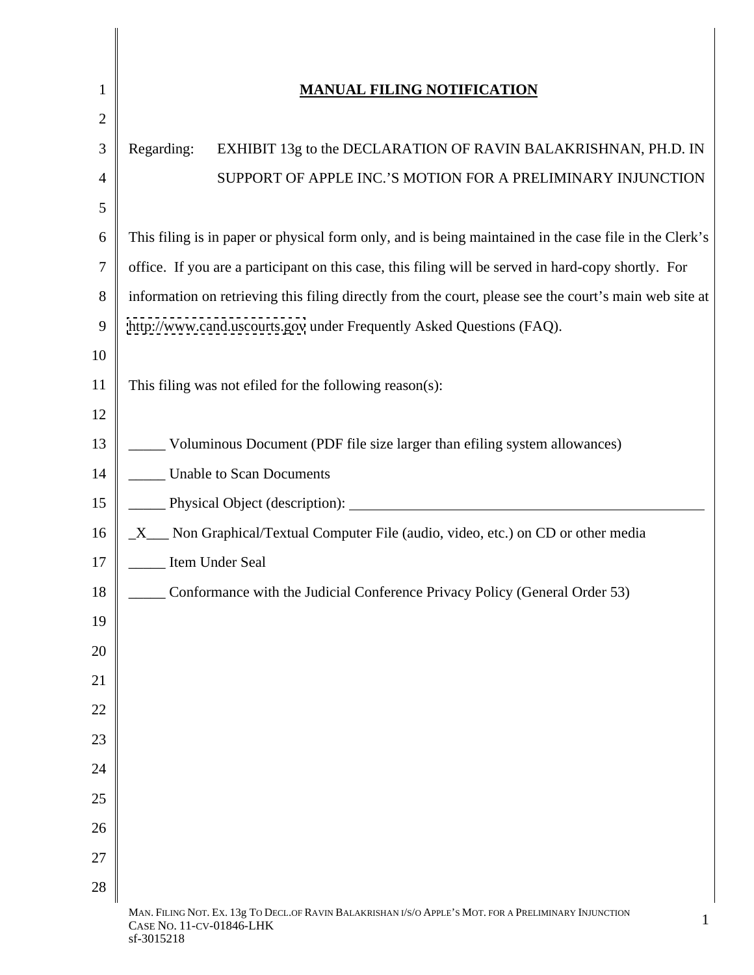|                 | <b>MANUAL FILING NOTIFICATION</b>                                                                                                 |
|-----------------|-----------------------------------------------------------------------------------------------------------------------------------|
|                 |                                                                                                                                   |
|                 | EXHIBIT 13g to the DECLARATION OF RAVIN BALAKRISHNAN, PH.D. IN<br>Regarding:                                                      |
|                 | SUPPORT OF APPLE INC.'S MOTION FOR A PRELIMINARY INJUNCTION                                                                       |
|                 |                                                                                                                                   |
|                 | 6 This filing is in paper or physical form only, and is being maintained in the case file in the Clerk's                          |
|                 | office. If you are a participant on this case, this filing will be served in hard-copy shortly. For                               |
|                 | 8 information on retrieving this filing directly from the court, please see the court's main web site at                          |
|                 | 9   http://www.cand.uscourts.gov under Frequently Asked Questions (FAQ).                                                          |
| 10              |                                                                                                                                   |
|                 | This filing was not effled for the following reason(s):                                                                           |
| 12              |                                                                                                                                   |
|                 | Voluminous Document (PDF file size larger than efiling system allowances)<br>____                                                 |
| 14              | <b>Unable to Scan Documents</b>                                                                                                   |
|                 | Physical Object (description):<br>_____                                                                                           |
| 16              | _X__ Non Graphical/Textual Computer File (audio, video, etc.) on CD or other media                                                |
| 17              | Item Under Seal<br>______                                                                                                         |
|                 | Conformance with the Judicial Conference Privacy Policy (General Order 53)<br>______                                              |
| 19              |                                                                                                                                   |
| 20              |                                                                                                                                   |
| $\overline{21}$ |                                                                                                                                   |
| 22              |                                                                                                                                   |
| 23              |                                                                                                                                   |
| 24              |                                                                                                                                   |
| 25              |                                                                                                                                   |
| 26              |                                                                                                                                   |
| 27              |                                                                                                                                   |
| 28              |                                                                                                                                   |
|                 | MAN. FILING NOT. EX. 13g TO DECL.OF RAVIN BALAKRISHAN I/S/O APPLE'S MOT. FOR A PRELIMINARY INJUNCTION<br>CASE NO. 11-CV-01846-LHK |

 $\mathbf I$  $\mathsf{l}$